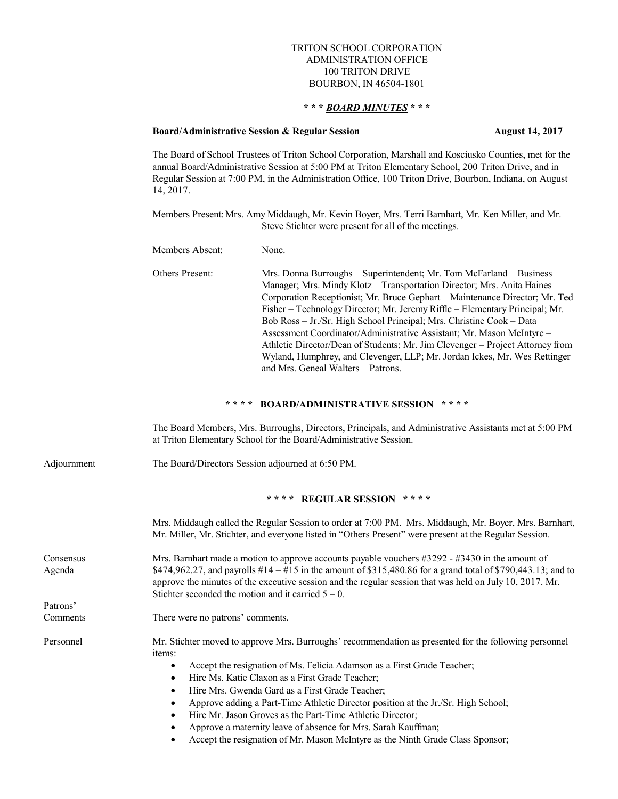## TRITON SCHOOL CORPORATION ADMINISTRATION OFFICE 100 TRITON DRIVE BOURBON, IN 46504-1801

## **\* \* \*** *BOARD MINUTES* **\* \* \***

#### **Board/Administrative Session & Regular Session August 14, 2017**

The Board of School Trustees of Triton School Corporation, Marshall and Kosciusko Counties, met for the annual Board/Administrative Session at 5:00 PM at Triton Elementary School, 200 Triton Drive, and in Regular Session at 7:00 PM, in the Administration Office, 100 Triton Drive, Bourbon, Indiana, on August 14, 2017.

Members Present:Mrs. Amy Middaugh, Mr. Kevin Boyer, Mrs. Terri Barnhart, Mr. Ken Miller, and Mr. Steve Stichter were present for all of the meetings.

Members Absent: None.

Others Present: Mrs. Donna Burroughs – Superintendent; Mr. Tom McFarland – Business Manager; Mrs. Mindy Klotz – Transportation Director; Mrs. Anita Haines – Corporation Receptionist; Mr. Bruce Gephart – Maintenance Director; Mr. Ted Fisher – Technology Director; Mr. Jeremy Riffle – Elementary Principal; Mr. Bob Ross – Jr./Sr. High School Principal; Mrs. Christine Cook – Data Assessment Coordinator/Administrative Assistant; Mr. Mason McIntyre – Athletic Director/Dean of Students; Mr. Jim Clevenger – Project Attorney from Wyland, Humphrey, and Clevenger, LLP; Mr. Jordan Ickes, Mr. Wes Rettinger and Mrs. Geneal Walters – Patrons.

# **\* \* \* \* BOARD/ADMINISTRATIVE SESSION \* \* \* \***

The Board Members, Mrs. Burroughs, Directors, Principals, and Administrative Assistants met at 5:00 PM at Triton Elementary School for the Board/Administrative Session.

Adjournment The Board/Directors Session adjourned at 6:50 PM.

### **\* \* \* \* REGULAR SESSION \* \* \* \***

|                     | Mrs. Middaugh called the Regular Session to order at 7:00 PM. Mrs. Middaugh, Mr. Boyer, Mrs. Barnhart,<br>Mr. Miller, Mr. Stichter, and everyone listed in "Others Present" were present at the Regular Session.                                                                                                                                                                         |
|---------------------|------------------------------------------------------------------------------------------------------------------------------------------------------------------------------------------------------------------------------------------------------------------------------------------------------------------------------------------------------------------------------------------|
| Consensus<br>Agenda | Mrs. Barnhart made a motion to approve accounts payable vouchers $\#3292 - \#3430$ in the amount of<br>\$474,962.27, and payrolls #14 – #15 in the amount of \$315,480.86 for a grand total of \$790,443.13; and to<br>approve the minutes of the executive session and the regular session that was held on July 10, 2017. Mr.<br>Stichter seconded the motion and it carried $5 - 0$ . |
| Patrons'            |                                                                                                                                                                                                                                                                                                                                                                                          |
| Comments            | There were no patrons' comments.                                                                                                                                                                                                                                                                                                                                                         |
| Personnel           | Mr. Stichter moved to approve Mrs. Burroughs' recommendation as presented for the following personnel<br>items:                                                                                                                                                                                                                                                                          |
|                     | Accept the resignation of Ms. Felicia Adamson as a First Grade Teacher;                                                                                                                                                                                                                                                                                                                  |
|                     | Hire Ms. Katie Claxon as a First Grade Teacher;                                                                                                                                                                                                                                                                                                                                          |
|                     | Hire Mrs. Gwenda Gard as a First Grade Teacher;                                                                                                                                                                                                                                                                                                                                          |
|                     | Approve adding a Part-Time Athletic Director position at the Jr./Sr. High School;                                                                                                                                                                                                                                                                                                        |
|                     | Hire Mr. Jason Groves as the Part-Time Athletic Director;                                                                                                                                                                                                                                                                                                                                |
|                     | Approve a maternity leave of absence for Mrs. Sarah Kauffman;                                                                                                                                                                                                                                                                                                                            |

Accept the resignation of Mr. Mason McIntyre as the Ninth Grade Class Sponsor;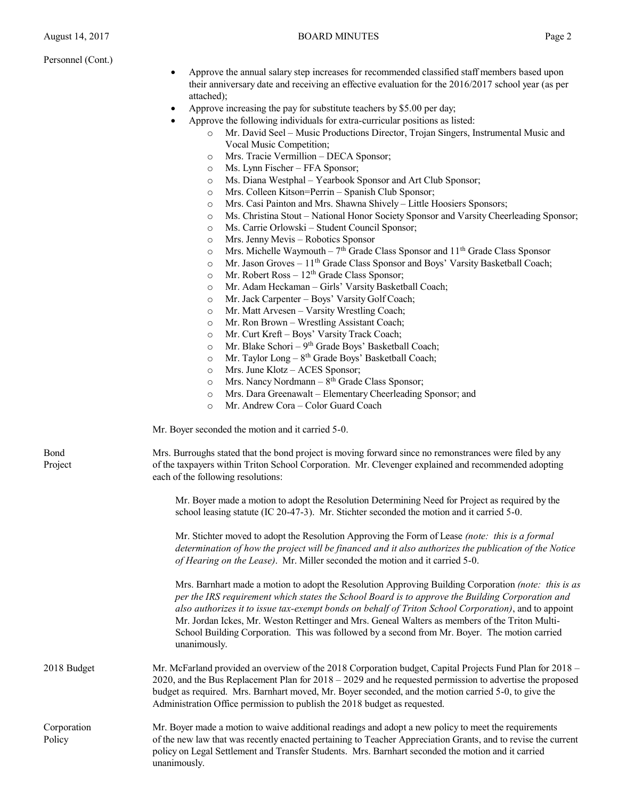Personnel (Cont.)

- Approve the annual salary step increases for recommended classified staff members based upon their anniversary date and receiving an effective evaluation for the 2016/2017 school year (as per attached);
- Approve increasing the pay for substitute teachers by \$5.00 per day;
- Approve the following individuals for extra-curricular positions as listed:
	- o Mr. David Seel Music Productions Director, Trojan Singers, Instrumental Music and Vocal Music Competition;
	- o Mrs. Tracie Vermillion DECA Sponsor;
	- o Ms. Lynn Fischer FFA Sponsor;
	- o Ms. Diana Westphal Yearbook Sponsor and Art Club Sponsor;
	- o Mrs. Colleen Kitson=Perrin Spanish Club Sponsor;
	- o Mrs. Casi Painton and Mrs. Shawna Shively Little Hoosiers Sponsors;
	- o Ms. Christina Stout National Honor Society Sponsor and Varsity Cheerleading Sponsor;
	- o Ms. Carrie Orlowski Student Council Sponsor;
	- o Mrs. Jenny Mevis Robotics Sponsor
	- $\circ$  Mrs. Michelle Waymouth 7<sup>th</sup> Grade Class Sponsor and 11<sup>th</sup> Grade Class Sponsor
	- $\circ$  Mr. Jason Groves 11<sup>th</sup> Grade Class Sponsor and Boys' Varsity Basketball Coach;
	- $\circ$  Mr. Robert Ross 12<sup>th</sup> Grade Class Sponsor;
	- o Mr. Adam Heckaman Girls' Varsity Basketball Coach;
	- o Mr. Jack Carpenter Boys' Varsity Golf Coach;
	- o Mr. Matt Arvesen Varsity Wrestling Coach;
	- o Mr. Ron Brown Wrestling Assistant Coach;
	- o Mr. Curt Kreft Boys' Varsity Track Coach;
	- $\circ$  Mr. Blake Schori 9<sup>th</sup> Grade Boys' Basketball Coach;
	- $\circ$  Mr. Taylor Long  $8<sup>th</sup>$  Grade Boys' Basketball Coach;
	- o Mrs. June Klotz ACES Sponsor;
	- $\circ$  Mrs. Nancy Nordmann  $8<sup>th</sup>$  Grade Class Sponsor;
	- o Mrs. Dara Greenawalt Elementary Cheerleading Sponsor; and
	- o Mr. Andrew Cora Color Guard Coach

Mr. Boyer seconded the motion and it carried 5-0.

Bond Mrs. Burroughs stated that the bond project is moving forward since no remonstrances were filed by any Project of the taxpayers within Triton School Corporation. Mr. Clevenger explained and recommended adopting each of the following resolutions:

> Mr. Boyer made a motion to adopt the Resolution Determining Need for Project as required by the school leasing statute (IC 20-47-3). Mr. Stichter seconded the motion and it carried 5-0.

Mr. Stichter moved to adopt the Resolution Approving the Form of Lease *(note: this is a formal determination of how the project will be financed and it also authorizes the publication of the Notice of Hearing on the Lease)*. Mr. Miller seconded the motion and it carried 5-0.

Mrs. Barnhart made a motion to adopt the Resolution Approving Building Corporation *(note: this is as per the IRS requirement which states the School Board is to approve the Building Corporation and also authorizes it to issue tax-exempt bonds on behalf of Triton School Corporation)*, and to appoint Mr. Jordan Ickes, Mr. Weston Rettinger and Mrs. Geneal Walters as members of the Triton Multi-School Building Corporation. This was followed by a second from Mr. Boyer. The motion carried unanimously.

2018 Budget Mr. McFarland provided an overview of the 2018 Corporation budget, Capital Projects Fund Plan for 2018 – 2020, and the Bus Replacement Plan for 2018 – 2029 and he requested permission to advertise the proposed budget as required. Mrs. Barnhart moved, Mr. Boyer seconded, and the motion carried 5-0, to give the Administration Office permission to publish the 2018 budget as requested.

Corporation Mr. Boyer made a motion to waive additional readings and adopt a new policy to meet the requirements Policy of the new law that was recently enacted pertaining to Teacher Appreciation Grants, and to revise the current policy on Legal Settlement and Transfer Students. Mrs. Barnhart seconded the motion and it carried unanimously.